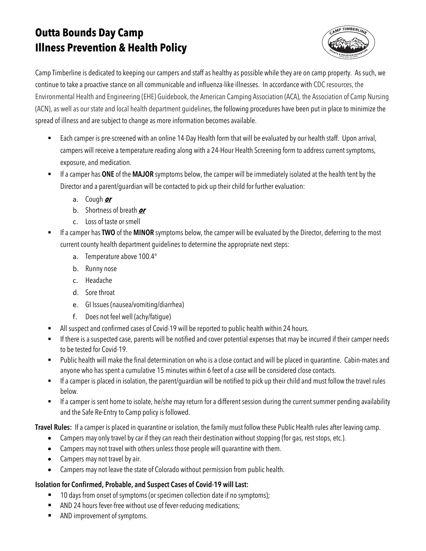# **Outta Bounds Day Camp Illness Prevention & Health Policy**



Camp Timberline is dedicated to keeping our campers and staff as healthy as possible while they are on camp property. As such, we continue to take a proactive stance on all communicable and influenza-like illnesses. In accordance with CDC resources, the Environmental Health and Engineering (EHE) Guidebook, the American Camping Association (ACA), the Association of Camp Nursing (ACN), as well as our state and local health department guidelines, the following procedures have been put in place to minimize the spread of illness and are subject to change as more information becomes available.

- Each camper is pre-screened with an online 14-Day Health form that will be evaluated by our health staff. Upon arrival, campers will receive a temperature reading along with a 24-Hour Health Screening form to address current symptoms, exposure, and medication.
- § If a camper has **ONE** of the **MAJOR** symptoms below, the camper will be immediately isolated at the health tent by the Director and a parent/guardian will be contacted to pick up their child for further evaluation:
	- a. Cough **or**
	- b. Shortness of breath **or**
	- c. Loss of taste or smell
- If a camper has **TWO** of the **MINOR** symptoms below, the camper will be evaluated by the Director, deferring to the most current county health department guidelines to determine the appropriate next steps:
	- a. Temperature above 100.4°
	- b. Runny nose
	- c. Headache
	- d. Sore throat
	- e. GI Issues (nausea/vomiting/diarrhea)
	- f. Does not feel well (achy/fatigue)
- All suspect and confirmed cases of Covid-19 will be reported to public health within 24 hours.
- **■** If there is a suspected case, parents will be notified and cover potential expenses that may be incurred if their camper needs to be tested for Covid-19.
- Public health will make the final determination on who is a close contact and will be placed in quarantine. Cabin-mates and anyone who has spent a cumulative 15 minutes within 6 feet of a case will be considered close contacts.
- If a camper is placed in isolation, the parent/guardian will be notified to pick up their child and must follow the travel rules below.
- **■** If a camper is sent home to isolate, he/she may return for a different session during the current summer pending availability and the Safe Re-Entry to Camp policy is followed.

**Travel Rules:** If a camper is placed in quarantine or isolation, the family must follow these Public Health rules after leaving camp.

- Campers may only travel by car if they can reach their destination without stopping (for gas, rest stops, etc.).
- Campers may not travel with others unless those people will quarantine with them.
- Campers may not travel by air.
- Campers may not leave the state of Colorado without permission from public health.

## **Isolation for Confirmed, Probable, and Suspect Cases of Covid-19 will Last:**

- 10 days from onset of symptoms (or specimen collection date if no symptoms);
- AND 24 hours fever-free without use of fever-reducing medications;
- AND improvement of symptoms.